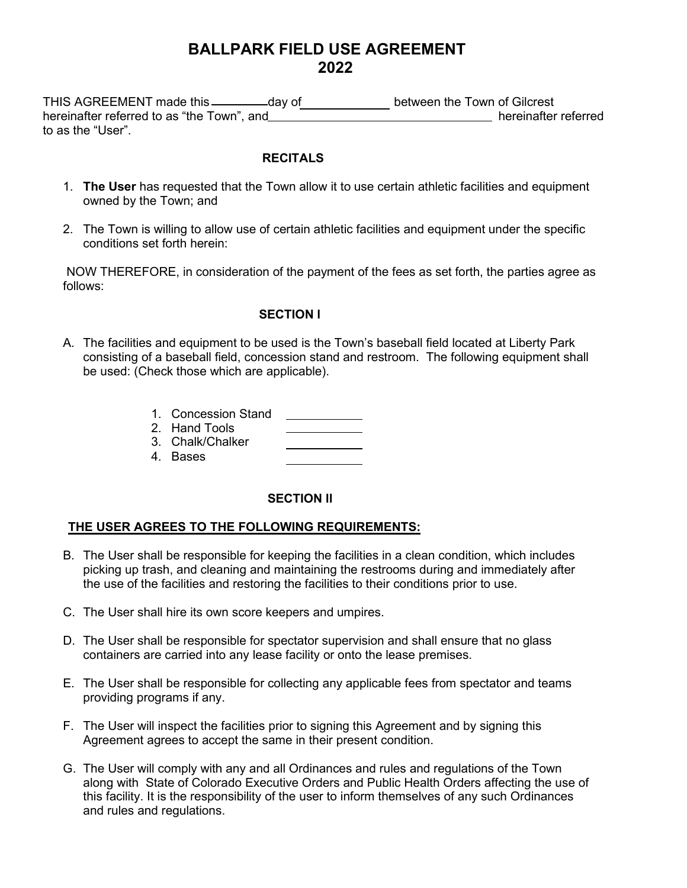# **BALLPARK FIELD USE AGREEMENT 2022**

THIS AGREEMENT made this \_\_\_\_\_\_\_\_\_day of \_\_\_\_\_\_\_\_\_\_\_\_\_ between the Town of Gilcrest hereinafter referred to as "the Town", and hereinafter referred hereinafter referred to as the "User".

#### **RECITALS**

- 1. **The User** has requested that the Town allow it to use certain athletic facilities and equipment owned by the Town; and
- 2. The Town is willing to allow use of certain athletic facilities and equipment under the specific conditions set forth herein:

NOW THEREFORE, in consideration of the payment of the fees as set forth, the parties agree as follows:

## **SECTION l**

A. The facilities and equipment to be used is the Town's baseball field located at Liberty Park consisting of a baseball field, concession stand and restroom. The following equipment shall be used: (Check those which are applicable).

<u> The Community of the Community of the Community of the Community of the Community of the Community of the Community of the Community of the Community of the Community of the Community of the Community of the Community of</u>

- 1. Concession Stand
- 2. Hand Tools
- 3. Chalk/Chalker
- 4. Bases

## **SECTION ll**

## **THE USER AGREES TO THE FOLLOWING REQUIREMENTS:**

- B. The User shall be responsible for keeping the facilities in a clean condition, which includes picking up trash, and cleaning and maintaining the restrooms during and immediately after the use of the facilities and restoring the facilities to their conditions prior to use.
- C. The User shall hire its own score keepers and umpires.
- D. The User shall be responsible for spectator supervision and shall ensure that no glass containers are carried into any lease facility or onto the lease premises.
- E. The User shall be responsible for collecting any applicable fees from spectator and teams providing programs if any.
- F. The User will inspect the facilities prior to signing this Agreement and by signing this Agreement agrees to accept the same in their present condition.
- G. The User will comply with any and all Ordinances and rules and regulations of the Town along with State of Colorado Executive Orders and Public Health Orders affecting the use of this facility. It is the responsibility of the user to inform themselves of any such Ordinances and rules and regulations.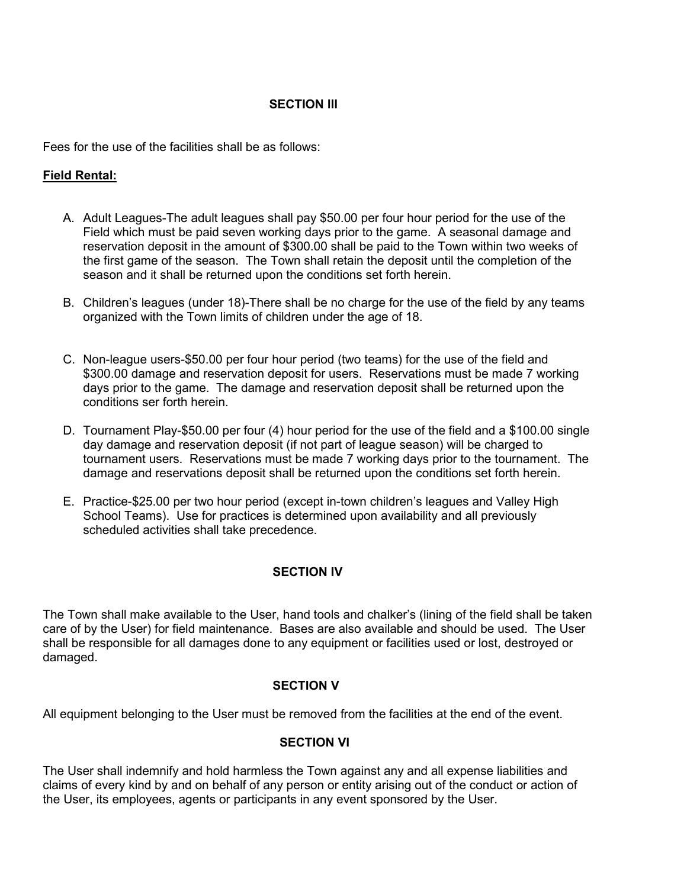# **SECTION lll**

Fees for the use of the facilities shall be as follows:

# **Field Rental:**

- A. Adult Leagues-The adult leagues shall pay \$50.00 per four hour period for the use of the Field which must be paid seven working days prior to the game. A seasonal damage and reservation deposit in the amount of \$300.00 shall be paid to the Town within two weeks of the first game of the season. The Town shall retain the deposit until the completion of the season and it shall be returned upon the conditions set forth herein.
- B. Children's leagues (under 18)-There shall be no charge for the use of the field by any teams organized with the Town limits of children under the age of 18.
- C. Non-league users-\$50.00 per four hour period (two teams) for the use of the field and \$300.00 damage and reservation deposit for users. Reservations must be made 7 working days prior to the game. The damage and reservation deposit shall be returned upon the conditions ser forth herein.
- D. Tournament Play-\$50.00 per four (4) hour period for the use of the field and a \$100.00 single day damage and reservation deposit (if not part of league season) will be charged to tournament users. Reservations must be made 7 working days prior to the tournament. The damage and reservations deposit shall be returned upon the conditions set forth herein.
- E. Practice-\$25.00 per two hour period (except in-town children's leagues and Valley High School Teams). Use for practices is determined upon availability and all previously scheduled activities shall take precedence.

## **SECTION IV**

The Town shall make available to the User, hand tools and chalker's (lining of the field shall be taken care of by the User) for field maintenance. Bases are also available and should be used. The User shall be responsible for all damages done to any equipment or facilities used or lost, destroyed or damaged.

## **SECTION V**

All equipment belonging to the User must be removed from the facilities at the end of the event.

## **SECTION VI**

The User shall indemnify and hold harmless the Town against any and all expense liabilities and claims of every kind by and on behalf of any person or entity arising out of the conduct or action of the User, its employees, agents or participants in any event sponsored by the User.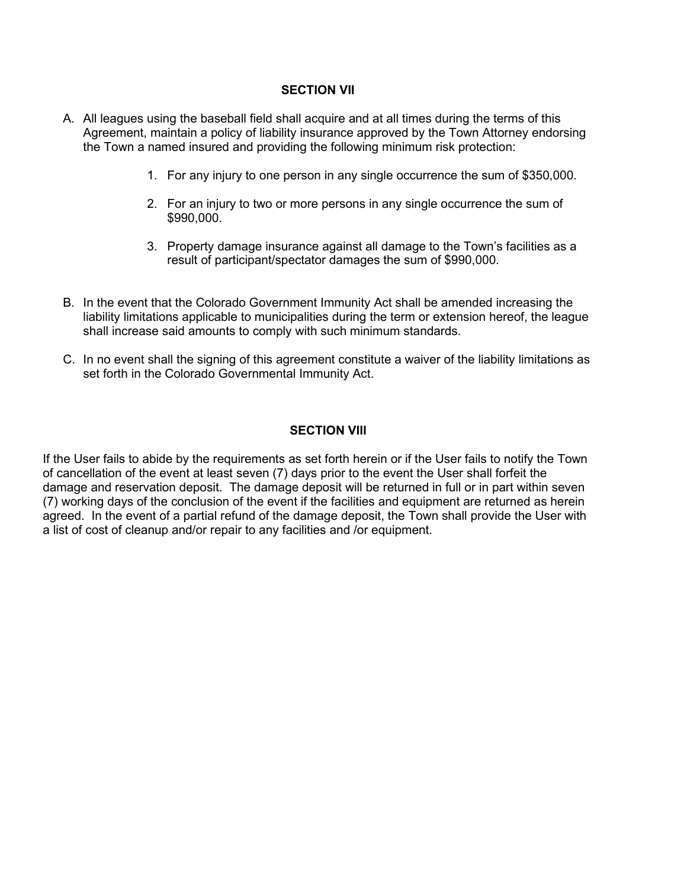#### **SECTION VII**

- A. All leagues using the baseball field shall acquire and at all times during the terms of this Agreement, maintain a policy of liability insurance approved by the Town Attorney endorsing the Town a named insured and providing the following minimum risk protection:
	- 1. For any injury to one person in any single occurrence the sum of \$350,000.
	- 2. For an injury to two or more persons in any single occurrence the sum of \$990,000.
	- 3. Property damage insurance against all damage to the Town's facilities as a result of participant/spectator damages the sum of \$990,000.
- B. In the event that the Colorado Government Immunity Act shall be amended increasing the liability limitations applicable to municipalities during the term or extension hereof, the league shall increase said amounts to comply with such minimum standards.
- C. In no event shall the signing of this agreement constitute a waiver of the liability limitations as set forth in the Colorado Governmental Immunity Act.

#### **SECTION Vlll**

If the User fails to abide by the requirements as set forth herein or if the User fails to notify the Town of cancellation of the event at least seven (7) days prior to the event the User shall forfeit the damage and reservation deposit. The damage deposit will be returned in full or in part within seven (7) working days of the conclusion of the event if the facilities and equipment are returned as herein agreed. In the event of a partial refund of the damage deposit, the Town shall provide the User with a list of cost of cleanup and/or repair to any facilities and /or equipment.